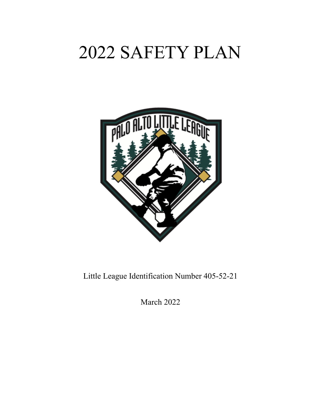# 2022 SAFETY PLAN



Little League Identification Number 405-52-21

March 2022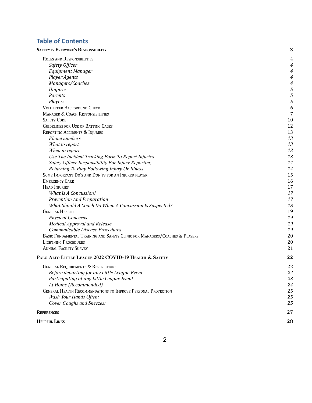## **Table of Contents**

| <b>SAFETY IS EVERYONE'S RESPONSIBILITY</b>                                  | 3  |
|-----------------------------------------------------------------------------|----|
| ROLES AND RESPONSIBILITIES                                                  | 4  |
| Safety Officer                                                              | 4  |
| <b>Equipment Manager</b>                                                    | 4  |
| <b>Player Agents</b>                                                        | 4  |
| Managers/Coaches                                                            | 4  |
| <b>Umpires</b>                                                              | 5  |
| Parents                                                                     | 5  |
| Players                                                                     | 5  |
| <b>VOLUNTEER BACKGROUND CHECK</b>                                           | 6  |
| <b>MANAGER &amp; COACH RESPONSIBILITIES</b>                                 | 7  |
| <b>SAFETY CODE</b>                                                          | 10 |
| <b>GUIDELINES FOR USE OF BATTING CAGES</b>                                  | 12 |
| REPORTING ACCIDENTS & INJURIES                                              | 13 |
| Phone numbers                                                               | 13 |
| What to report                                                              | 13 |
| When to report                                                              | 13 |
| Use The Incident Tracking Form To Report Injuries                           | 13 |
| Safety Officer Responsibility For Injury Reporting                          | 14 |
| Returning To Play Following Injury Or Illness -                             | 14 |
| SOME IMPORTANT DO'S AND DON'TS FOR AN INJURED PLAYER                        | 15 |
| <b>EMERGENCY CARE</b>                                                       | 16 |
| <b>HEAD INJURIES</b>                                                        | 17 |
| <b>What Is A Concussion?</b>                                                | 17 |
| Prevention And Preparation                                                  | 17 |
| What Should A Coach Do When A Concussion Is Suspected?                      | 18 |
| <b>GENERAL HEALTH</b>                                                       | 19 |
| Physical Concerns-                                                          | 19 |
| Medical Approval and Release -                                              | 19 |
| Communicable Disease Procedures -                                           | 19 |
| BASIC FUNDAMENTAL TRAINING AND SAFETY CLINIC FOR MANAGERS/COACHES & PLAYERS | 20 |
| <b>LIGHTNING PROCEDURES</b>                                                 | 20 |
| <b>ANNUAL FACILITY SURVEY</b>                                               | 21 |
| PALO ALTO LITTLE LEAGUE 2022 COVID-19 HEALTH & SAFETY                       | 22 |
| <b>GENERAL REQUIREMENTS &amp; RESTRICTIONS</b>                              | 22 |
| Before departing for any Little League Event                                | 22 |
| Participating at any Little League Event                                    | 23 |
| At Home (Recommended)                                                       | 24 |
| <b>GENERAL HEALTH RECOMMENDATIONS TO IMPROVE PERSONAL PROTECTION</b>        | 25 |
| Wash Your Hands Often:                                                      | 25 |
| Cover Coughs and Sneezes:                                                   | 25 |
| <b>REFERENCES</b>                                                           | 27 |
|                                                                             |    |

| <b>HELPFUL LINKS</b> | 28 |
|----------------------|----|
|                      |    |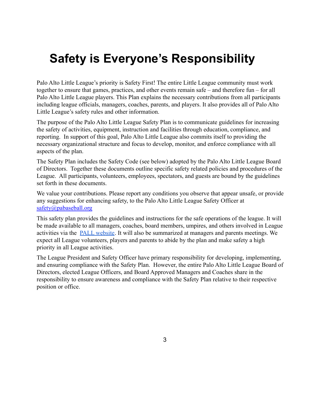# <span id="page-2-0"></span>**Safety is Everyone's Responsibility**

Palo Alto Little League's priority is Safety First! The entire Little League community must work together to ensure that games, practices, and other events remain safe – and therefore fun – for all Palo Alto Little League players. This Plan explains the necessary contributions from all participants including league officials, managers, coaches, parents, and players. It also provides all of Palo Alto Little League's safety rules and other information.

The purpose of the Palo Alto Little League Safety Plan is to communicate guidelines for increasing the safety of activities, equipment, instruction and facilities through education, compliance, and reporting. In support of this goal, Palo Alto Little League also commits itself to providing the necessary organizational structure and focus to develop, monitor, and enforce compliance with all aspects of the plan.

The Safety Plan includes the Safety Code (see below) adopted by the Palo Alto Little League Board of Directors. Together these documents outline specific safety related policies and procedures of the League. All participants, volunteers, employees, spectators, and guests are bound by the guidelines set forth in these documents.

We value your contributions. Please report any conditions you observe that appear unsafe, or provide any suggestions for enhancing safety, to the Palo Alto Little League Safety Officer at [safety@pabaseball.org](mailto:safety@pabaseball.org)

This safety plan provides the guidelines and instructions for the safe operations of the league. It will be made available to all managers, coaches, board members, umpires, and others involved in League activities via the [PALL website](https://www.pabaseball.org/health-and-safety/). It will also be summarized at managers and parents meetings. We expect all League volunteers, players and parents to abide by the plan and make safety a high priority in all League activities.

The League President and Safety Officer have primary responsibility for developing, implementing, and ensuring compliance with the Safety Plan. However, the entire Palo Alto Little League Board of Directors, elected League Officers, and Board Approved Managers and Coaches share in the responsibility to ensure awareness and compliance with the Safety Plan relative to their respective position or office.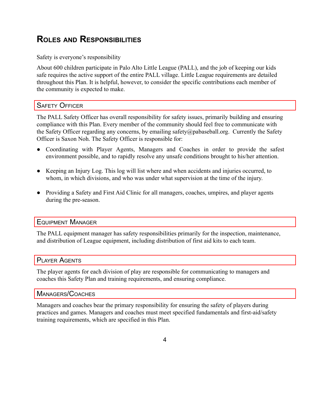# <span id="page-3-0"></span>**ROLES AND RESPONSIBILITIES**

#### Safety is everyone's responsibility

About 600 children participate in Palo Alto Little League (PALL), and the job of keeping our kids safe requires the active support of the entire PALL village. Little League requirements are detailed throughout this Plan. It is helpful, however, to consider the specific contributions each member of the community is expected to make.

### <span id="page-3-1"></span>SAFETY OFFICER

The PALL Safety Officer has overall responsibility for safety issues, primarily building and ensuring compliance with this Plan. Every member of the community should feel free to communicate with the Safety Officer regarding any concerns, by emailing safety@pabaseball.org. Currently the Safety Officer is Saxon Noh. The Safety Officer is responsible for:

- Coordinating with Player Agents, Managers and Coaches in order to provide the safest environment possible, and to rapidly resolve any unsafe conditions brought to his/her attention.
- Keeping an Injury Log. This log will list where and when accidents and injuries occurred, to whom, in which divisions, and who was under what supervision at the time of the injury.
- Providing a Safety and First Aid Clinic for all managers, coaches, umpires, and player agents during the pre-season.

### <span id="page-3-2"></span>EQUIPMENT MANAGER

The PALL equipment manager has safety responsibilities primarily for the inspection, maintenance, and distribution of League equipment, including distribution of first aid kits to each team.

### <span id="page-3-3"></span>PLAYER AGENTS

The player agents for each division of play are responsible for communicating to managers and coaches this Safety Plan and training requirements, and ensuring compliance.

#### <span id="page-3-4"></span>MANAGERS/COACHES

Managers and coaches bear the primary responsibility for ensuring the safety of players during practices and games. Managers and coaches must meet specified fundamentals and first-aid/safety training requirements, which are specified in this Plan.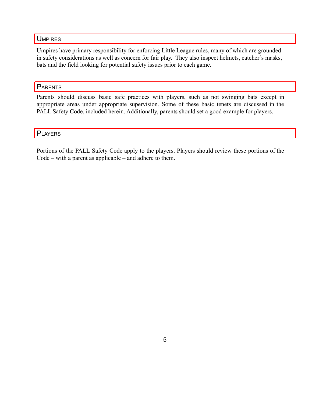#### <span id="page-4-0"></span>**UMPIRES**

Umpires have primary responsibility for enforcing Little League rules, many of which are grounded in safety considerations as well as concern for fair play. They also inspect helmets, catcher's masks, bats and the field looking for potential safety issues prior to each game.

### <span id="page-4-1"></span>**PARENTS**

Parents should discuss basic safe practices with players, such as not swinging bats except in appropriate areas under appropriate supervision. Some of these basic tenets are discussed in the PALL Safety Code, included herein. Additionally, parents should set a good example for players.

<span id="page-4-2"></span>**PLAYERS** 

Portions of the PALL Safety Code apply to the players. Players should review these portions of the Code – with a parent as applicable – and adhere to them.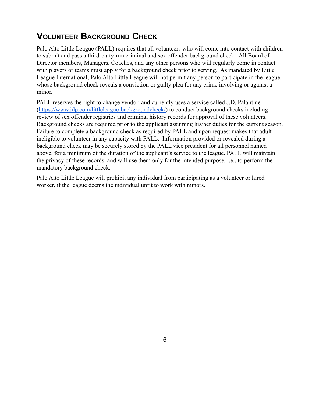# <span id="page-5-0"></span>**VOLUNTEER BACKGROUND CHECK**

Palo Alto Little League (PALL) requires that all volunteers who will come into contact with children to submit and pass a third-party-run criminal and sex offender background check. All Board of Director members, Managers, Coaches, and any other persons who will regularly come in contact with players or teams must apply for a background check prior to serving. As mandated by Little League International, Palo Alto Little League will not permit any person to participate in the league, whose background check reveals a conviction or guilty plea for any crime involving or against a minor.

PALL reserves the right to change vendor, and currently uses a service called J.D. Palantine (<https://www.jdp.com/littleleague-backgroundcheck/>) to conduct background checks including review of sex offender registries and criminal history records for approval of these volunteers. Background checks are required prior to the applicant assuming his/her duties for the current season. Failure to complete a background check as required by PALL and upon request makes that adult ineligible to volunteer in any capacity with PALL. Information provided or revealed during a background check may be securely stored by the PALL vice president for all personnel named above, for a minimum of the duration of the applicant's service to the league. PALL will maintain the privacy of these records, and will use them only for the intended purpose, i.e., to perform the mandatory background check.

Palo Alto Little League will prohibit any individual from participating as a volunteer or hired worker, if the league deems the individual unfit to work with minors.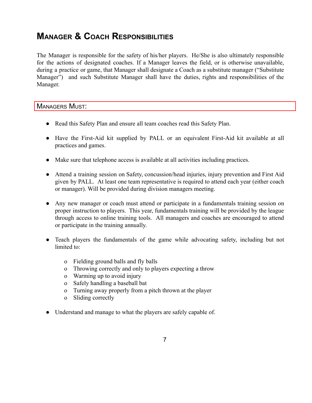# <span id="page-6-0"></span>**MANAGER & COACH RESPONSIBILITIES**

The Manager is responsible for the safety of his/her players. He/She is also ultimately responsible for the actions of designated coaches. If a Manager leaves the field, or is otherwise unavailable, during a practice or game, that Manager shall designate a Coach as a substitute manager ("Substitute Manager") and such Substitute Manager shall have the duties, rights and responsibilities of the Manager.

MANAGERS MUST:

- Read this Safety Plan and ensure all team coaches read this Safety Plan.
- Have the First-Aid kit supplied by PALL or an equivalent First-Aid kit available at all practices and games.
- Make sure that telephone access is available at all activities including practices.
- Attend a training session on Safety, concussion/head injuries, injury prevention and First Aid given by PALL. At least one team representative is required to attend each year (either coach or manager). Will be provided during division managers meeting.
- Any new manager or coach must attend or participate in a fundamentals training session on proper instruction to players. This year, fundamentals training will be provided by the league through access to online training tools. All managers and coaches are encouraged to attend or participate in the training annually.
- Teach players the fundamentals of the game while advocating safety, including but not limited to:
	- o Fielding ground balls and fly balls
	- o Throwing correctly and only to players expecting a throw
	- o Warming up to avoid injury
	- o Safely handling a baseball bat
	- o Turning away properly from a pitch thrown at the player
	- o Sliding correctly
- Understand and manage to what the players are safely capable of.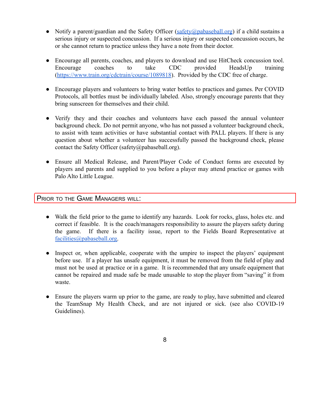- Notify a parent/guardian and the Safety Officer [\(safety@pabaseball.org](mailto:safety@pabaseball.org)) if a child sustains a serious injury or suspected concussion. If a serious injury or suspected concussion occurs, he or she cannot return to practice unless they have a note from their doctor.
- Encourage all parents, coaches, and players to download and use HitCheck concussion tool. Encourage coaches to take CDC provided HeadsUp training (<https://www.train.org/cdctrain/course/1089818>). Provided by the CDC free of charge.
- Encourage players and volunteers to bring water bottles to practices and games. Per COVID Protocols, all bottles must be individually labeled. Also, strongly encourage parents that they bring sunscreen for themselves and their child.
- Verify they and their coaches and volunteers have each passed the annual volunteer background check. Do not permit anyone, who has not passed a volunteer background check, to assist with team activities or have substantial contact with PALL players. If there is any question about whether a volunteer has successfully passed the background check, please contact the Safety Officer (safety@pabaseball.org).
- Ensure all Medical Release, and Parent/Player Code of Conduct forms are executed by players and parents and supplied to you before a player may attend practice or games with Palo Alto Little League.

### PRIOR TO THE GAME MANAGERS WILL:

- Walk the field prior to the game to identify any hazards. Look for rocks, glass, holes etc. and correct if feasible. It is the coach/managers responsibility to assure the players safety during the game. If there is a facility issue, report to the Fields Board Representative at [facilities@pabaseball.org.](mailto:facilities@pabaseball.org)
- Inspect or, when applicable, cooperate with the umpire to inspect the players' equipment before use. If a player has unsafe equipment, it must be removed from the field of play and must not be used at practice or in a game. It is recommended that any unsafe equipment that cannot be repaired and made safe be made unusable to stop the player from "saving" it from waste.
- Ensure the players warm up prior to the game, are ready to play, have submitted and cleared the TeamSnap My Health Check, and are not injured or sick. (see also COVID-19 Guidelines).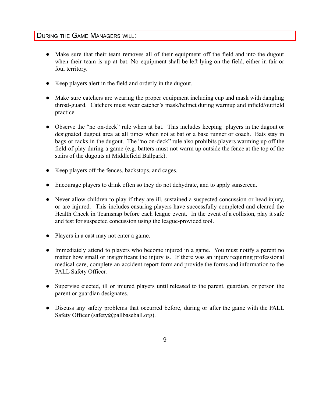### DURING THE GAME MANAGERS WILL:

- Make sure that their team removes all of their equipment off the field and into the dugout when their team is up at bat. No equipment shall be left lying on the field, either in fair or foul territory.
- Keep players alert in the field and orderly in the dugout.
- Make sure catchers are wearing the proper equipment including cup and mask with dangling throat-guard. Catchers must wear catcher's mask/helmet during warmup and infield/outfield practice.
- Observe the "no on-deck" rule when at bat. This includes keeping players in the dugout or designated dugout area at all times when not at bat or a base runner or coach. Bats stay in bags or racks in the dugout. The "no on-deck" rule also prohibits players warming up off the field of play during a game (e.g. batters must not warm up outside the fence at the top of the stairs of the dugouts at Middlefield Ballpark).
- Keep players off the fences, backstops, and cages.
- Encourage players to drink often so they do not dehydrate, and to apply sunscreen.
- Never allow children to play if they are ill, sustained a suspected concussion or head injury, or are injured. This includes ensuring players have successfully completed and cleared the Health Check in Teamsnap before each league event. In the event of a collision, play it safe and test for suspected concussion using the league-provided tool.
- Players in a cast may not enter a game.
- Immediately attend to players who become injured in a game. You must notify a parent no matter how small or insignificant the injury is. If there was an injury requiring professional medical care, complete an accident report form and provide the forms and information to the PALL Safety Officer.
- Supervise ejected, ill or injured players until released to the parent, guardian, or person the parent or guardian designates.
- Discuss any safety problems that occurred before, during or after the game with the PALL Safety Officer (safety@pallbaseball.org).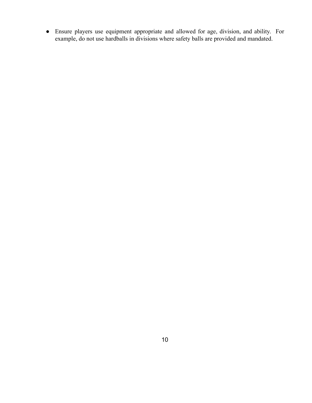● Ensure players use equipment appropriate and allowed for age, division, and ability. For example, do not use hardballs in divisions where safety balls are provided and mandated.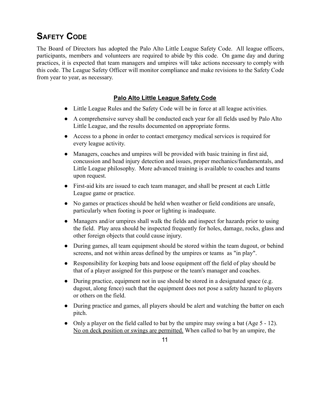# <span id="page-10-0"></span>**SAFETY CODE**

The Board of Directors has adopted the Palo Alto Little League Safety Code. All league officers, participants, members and volunteers are required to abide by this code. On game day and during practices, it is expected that team managers and umpires will take actions necessary to comply with this code. The League Safety Officer will monitor compliance and make revisions to the Safety Code from year to year, as necessary.

### **Palo Alto Little League Safety Code**

- Little League Rules and the Safety Code will be in force at all league activities.
- A comprehensive survey shall be conducted each year for all fields used by Palo Alto Little League, and the results documented on appropriate forms.
- Access to a phone in order to contact emergency medical services is required for every league activity.
- Managers, coaches and umpires will be provided with basic training in first aid, concussion and head injury detection and issues, proper mechanics/fundamentals, and Little League philosophy. More advanced training is available to coaches and teams upon request.
- First-aid kits are issued to each team manager, and shall be present at each Little League game or practice.
- No games or practices should be held when weather or field conditions are unsafe, particularly when footing is poor or lighting is inadequate.
- Managers and/or umpires shall walk the fields and inspect for hazards prior to using the field. Play area should be inspected frequently for holes, damage, rocks, glass and other foreign objects that could cause injury.
- During games, all team equipment should be stored within the team dugout, or behind screens, and not within areas defined by the umpires or teams as "in play".
- Responsibility for keeping bats and loose equipment off the field of play should be that of a player assigned for this purpose or the team's manager and coaches.
- During practice, equipment not in use should be stored in a designated space (e.g. dugout, along fence) such that the equipment does not pose a safety hazard to players or others on the field.
- During practice and games, all players should be alert and watching the batter on each pitch.
- Only a player on the field called to bat by the umpire may swing a bat (Age 5 12). No on deck position or swings are permitted. When called to bat by an umpire, the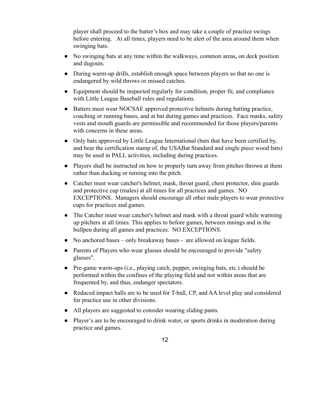player shall proceed to the batter's box and may take a couple of practice swings before entering. At all times, players need to be alert of the area around them when swinging bats.

- No swinging bats at any time within the walkways, common areas, on deck position and dugouts.
- During warm-up drills, establish enough space between players so that no one is endangered by wild throws or missed catches.
- Equipment should be inspected regularly for condition, proper fit, and compliance with Little League Baseball rules and regulations.
- Batters must wear NOCSAE approved protective helmets during batting practice, coaching or running bases, and at bat during games and practices. Face masks, safety vests and mouth guards are permissible and recommended for those players/parents with concerns in these areas.
- Only bats approved by Little League International (bats that have been certified by, and bear the certification stamp of, the USABat Standard and single piece wood bats) may be used in PALL activities, including during practices.
- Players shall be instructed on how to properly turn away from pitches thrown at them rather than ducking or turning into the pitch.
- Catcher must wear catcher's helmet, mask, throat guard, chest protector, shin guards and protective cup (males) at all times for all practices and games. NO EXCEPTIONS. Managers should encourage all other male players to wear protective cups for practices and games.
- The Catcher must wear catcher's helmet and mask with a throat guard while warming up pitchers at all times. This applies to before games, between innings and in the bullpen during all games and practices. NO EXCEPTIONS.
- No anchored bases only breakaway bases are allowed on league fields.
- Parents of Players who wear glasses should be encouraged to provide "safety" glasses".
- Pre-game warm-ups (i.e., playing catch, pepper, swinging bats, etc.) should be performed within the confines of the playing field and not within areas that are frequented by, and thus, endanger spectators.
- Reduced impact balls are to be used for T-ball, CP, and AA level play and considered for practice use in other divisions.
- All players are suggested to consider wearing sliding pants.
- Player's are to be encouraged to drink water, or sports drinks in moderation during practice and games.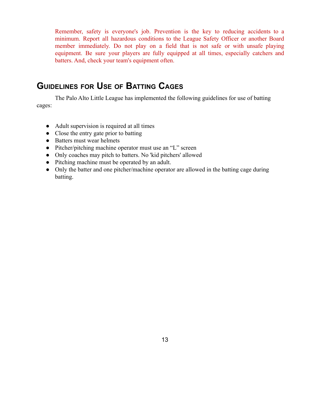Remember, safety is everyone's job. Prevention is the key to reducing accidents to a minimum. Report all hazardous conditions to the League Safety Officer or another Board member immediately. Do not play on a field that is not safe or with unsafe playing equipment. Be sure your players are fully equipped at all times, especially catchers and batters. And, check your team's equipment often.

## <span id="page-12-0"></span>**GUIDELINES FOR USE OF BATTING CAGES**

The Palo Alto Little League has implemented the following guidelines for use of batting cages:

- Adult supervision is required at all times
- Close the entry gate prior to batting
- Batters must wear helmets
- Pitcher/pitching machine operator must use an "L" screen
- Only coaches may pitch to batters. No 'kid pitchers' allowed
- Pitching machine must be operated by an adult.
- Only the batter and one pitcher/machine operator are allowed in the batting cage during batting.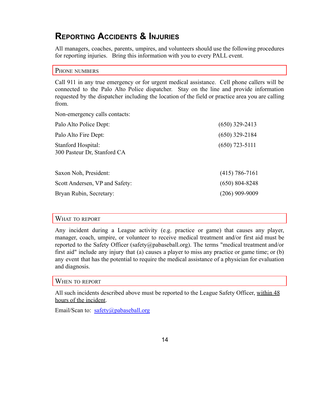## <span id="page-13-0"></span>**REPORTING ACCIDENTS & INJURIES**

All managers, coaches, parents, umpires, and volunteers should use the following procedures for reporting injuries. Bring this information with you to every PALL event.

#### <span id="page-13-1"></span>PHONE NUMBERS

Call 911 in any true emergency or for urgent medical assistance. Cell phone callers will be connected to the Palo Alto Police dispatcher. Stay on the line and provide information requested by the dispatcher including the location of the field or practice area you are calling from.

Non-emergency calls contacts:

| Palo Alto Police Dept:                            | $(650)$ 329-2413 |
|---------------------------------------------------|------------------|
| Palo Alto Fire Dept:                              | $(650)$ 329-2184 |
| Stanford Hospital:<br>300 Pasteur Dr, Stanford CA | $(650)$ 723-5111 |
| Saxon Noh, President:                             | $(415)$ 786-7161 |
| Scott Andersen, VP and Safety:                    | $(650)$ 804-8248 |
| Bryan Rubin, Secretary:                           | $(206)$ 909-9009 |
|                                                   |                  |

#### <span id="page-13-2"></span>WHAT TO REPORT

Any incident during a League activity (e.g. practice or game) that causes any player, manager, coach, umpire, or volunteer to receive medical treatment and/or first aid must be reported to the Safety Officer (safety@pabaseball.org). The terms "medical treatment and/or first aid" include any injury that (a) causes a player to miss any practice or game time; or (b) any event that has the potential to require the medical assistance of a physician for evaluation and diagnosis.

#### <span id="page-13-3"></span>WHEN TO REPORT

All such incidents described above must be reported to the League Safety Officer, within 48 hours of the incident.

Email/Scan to: [safety@pabaseball.org](mailto:safety@pabaseball.org)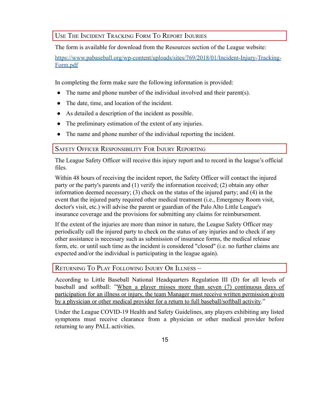<span id="page-14-0"></span>USE THE INCIDENT TRACKING FORM T<sup>O</sup> REPORT INJURIES

The form is available for download from the Resources section of the League website:

[https://www.pabaseball.org/wp-content/uploads/sites/769/2018/01/Incident-Injury-Tracking-](https://www.pabaseball.org/wp-content/uploads/sites/769/2018/01/Incident-Injury-Tracking-Form.pdf)[Form.pdf](https://www.pabaseball.org/wp-content/uploads/sites/769/2018/01/Incident-Injury-Tracking-Form.pdf)

In completing the form make sure the following information is provided:

- The name and phone number of the individual involved and their parent(s).
- The date, time, and location of the incident.
- As detailed a description of the incident as possible.
- The preliminary estimation of the extent of any injuries.
- The name and phone number of the individual reporting the incident.

### <span id="page-14-1"></span>SAFETY OFFICER RESPONSIBILITY FOR INJURY REPORTING

The League Safety Officer will receive this injury report and to record in the league's official files.

Within 48 hours of receiving the incident report, the Safety Officer will contact the injured party or the party's parents and (1) verify the information received; (2) obtain any other information deemed necessary; (3) check on the status of the injured party; and (4) in the event that the injured party required other medical treatment (i.e., Emergency Room visit, doctor's visit, etc.) will advise the parent or guardian of the Palo Alto Little League's insurance coverage and the provisions for submitting any claims for reimbursement.

If the extent of the injuries are more than minor in nature, the League Safety Officer may periodically call the injured party to check on the status of any injuries and to check if any other assistance is necessary such as submission of insurance forms, the medical release form, etc. or until such time as the incident is considered "closed" (i.e. no further claims are expected and/or the individual is participating in the league again).

## <span id="page-14-2"></span>RETURNING TO PLAY FOLLOWING INJURY OR ILLNESS –

According to Little Baseball National Headquarters Regulation III (D) for all levels of baseball and softball: "When a player misses more than seven (7) continuous days of participation for an illness or injury, the team Manager must receive written permission given by a physician or other medical provider for a return to full baseball/softball activity."

Under the League COVID-19 Health and Safety Guidelines, any players exhibiting any listed symptoms must receive clearance from a physician or other medical provider before returning to any PALL activities.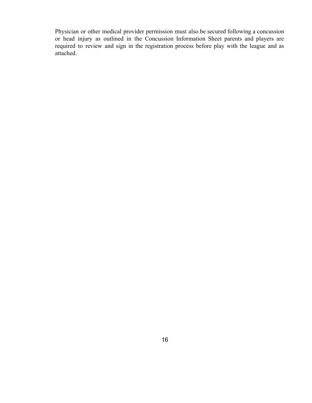Physician or other medical provider permission must also be secured following a concussion or head injury as outlined in the Concussion Information Sheet parents and players are required to review and sign in the registration process before play with the league and as attached.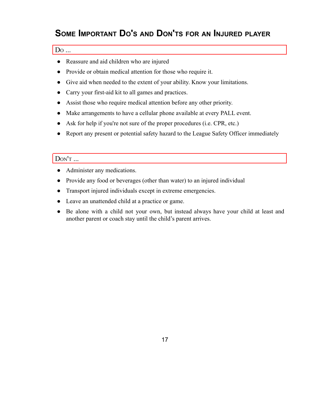# <span id="page-16-0"></span>**SOME IMPORTANT DO'<sup>S</sup> AND DON'TS FOR AN INJURED PLAYER**

### D<sup>O</sup> ...

- Reassure and aid children who are injured
- Provide or obtain medical attention for those who require it.
- Give aid when needed to the extent of your ability. Know your limitations.
- Carry your first-aid kit to all games and practices.
- Assist those who require medical attention before any other priority.
- Make arrangements to have a cellular phone available at every PALL event.
- Ask for help if you're not sure of the proper procedures (i.e. CPR, etc.)
- Report any present or potential safety hazard to the League Safety Officer immediately

#### DON'T ...

- Administer any medications.
- Provide any food or beverages (other than water) to an injured individual
- Transport injured individuals except in extreme emergencies.
- Leave an unattended child at a practice or game.
- Be alone with a child not your own, but instead always have your child at least and another parent or coach stay until the child's parent arrives.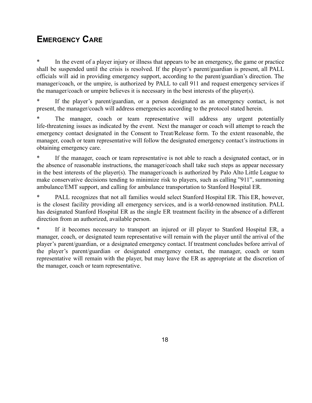# <span id="page-17-0"></span>**EMERGENCY CARE**

In the event of a player injury or illness that appears to be an emergency, the game or practice shall be suspended until the crisis is resolved. If the player's parent/guardian is present, all PALL officials will aid in providing emergency support, according to the parent/guardian's direction. The manager/coach, or the umpire, is authorized by PALL to call 911 and request emergency services if the manager/coach or umpire believes it is necessary in the best interests of the player(s).

\* If the player's parent/guardian, or a person designated as an emergency contact, is not present, the manager/coach will address emergencies according to the protocol stated herein.

The manager, coach or team representative will address any urgent potentially life-threatening issues as indicated by the event. Next the manager or coach will attempt to reach the emergency contact designated in the Consent to Treat/Release form. To the extent reasonable, the manager, coach or team representative will follow the designated emergency contact's instructions in obtaining emergency care.

If the manager, coach or team representative is not able to reach a designated contact, or in the absence of reasonable instructions, the manager/coach shall take such steps as appear necessary in the best interests of the player(s). The manager/coach is authorized by Palo Alto Little League to make conservative decisions tending to minimize risk to players, such as calling "911", summoning ambulance/EMT support, and calling for ambulance transportation to Stanford Hospital ER.

PALL recognizes that not all families would select Stanford Hospital ER. This ER, however, is the closest facility providing all emergency services, and is a world-renowned institution. PALL has designated Stanford Hospital ER as the single ER treatment facility in the absence of a different direction from an authorized, available person.

\* If it becomes necessary to transport an injured or ill player to Stanford Hospital ER, a manager, coach, or designated team representative will remain with the player until the arrival of the player's parent/guardian, or a designated emergency contact. If treatment concludes before arrival of the player's parent/guardian or designated emergency contact, the manager, coach or team representative will remain with the player, but may leave the ER as appropriate at the discretion of the manager, coach or team representative.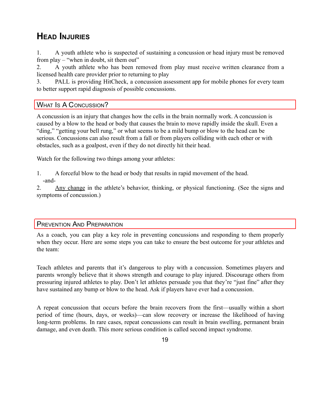# <span id="page-18-0"></span>**HEAD INJURIES**

1. A youth athlete who is suspected of sustaining a concussion or head injury must be removed from play – "when in doubt, sit them out"

2. A youth athlete who has been removed from play must receive written clearance from a licensed health care provider prior to returning to play

3. PALL is providing HitCheck, a concussion assessment app for mobile phones for every team to better support rapid diagnosis of possible concussions.

### <span id="page-18-1"></span>WHAT Is A CONCUSSION?

A concussion is an injury that changes how the cells in the brain normally work. A concussion is caused by a blow to the head or body that causes the brain to move rapidly inside the skull. Even a "ding," "getting your bell rung," or what seems to be a mild bump or blow to the head can be serious. Concussions can also result from a fall or from players colliding with each other or with obstacles, such as a goalpost, even if they do not directly hit their head.

Watch for the following two things among your athletes:

1. A forceful blow to the head or body that results in rapid movement of the head. -and-

2. Any change in the athlete's behavior, thinking, or physical functioning. (See the signs and symptoms of concussion.)

### <span id="page-18-2"></span>PREVENTION AND PREPARATION

As a coach, you can play a key role in preventing concussions and responding to them properly when they occur. Here are some steps you can take to ensure the best outcome for your athletes and the team:

Teach athletes and parents that it's dangerous to play with a concussion. Sometimes players and parents wrongly believe that it shows strength and courage to play injured. Discourage others from pressuring injured athletes to play. Don't let athletes persuade you that they're "just fine" after they have sustained any bump or blow to the head. Ask if players have ever had a concussion.

A repeat concussion that occurs before the brain recovers from the first—usually within a short period of time (hours, days, or weeks)—can slow recovery or increase the likelihood of having long-term problems. In rare cases, repeat concussions can result in brain swelling, permanent brain damage, and even death. This more serious condition is called second impact syndrome.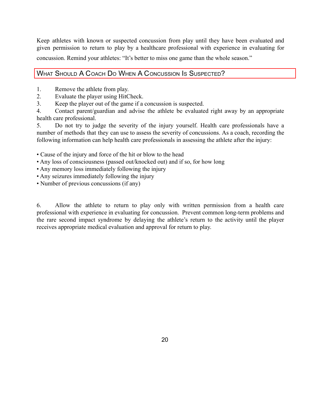Keep athletes with known or suspected concussion from play until they have been evaluated and given permission to return to play by a healthcare professional with experience in evaluating for concussion. Remind your athletes: "It's better to miss one game than the whole season."

## <span id="page-19-0"></span>WHAT SHOULD A COACH DO WHEN A CONCUSSION IS SUSPECTED?

- 1. Remove the athlete from play.
- 2. Evaluate the player using HitCheck.
- 3. Keep the player out of the game if a concussion is suspected.

4. Contact parent/guardian and advise the athlete be evaluated right away by an appropriate health care professional.

5. Do not try to judge the severity of the injury yourself. Health care professionals have a number of methods that they can use to assess the severity of concussions. As a coach, recording the following information can help health care professionals in assessing the athlete after the injury:

- Cause of the injury and force of the hit or blow to the head
- Any loss of consciousness (passed out/knocked out) and if so, for how long
- Any memory loss immediately following the injury
- Any seizures immediately following the injury
- Number of previous concussions (if any)

6. Allow the athlete to return to play only with written permission from a health care professional with experience in evaluating for concussion. Prevent common long-term problems and the rare second impact syndrome by delaying the athlete's return to the activity until the player receives appropriate medical evaluation and approval for return to play.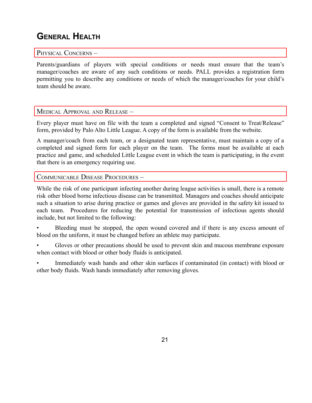# <span id="page-20-0"></span>**GENERAL HEALTH**

#### <span id="page-20-1"></span>PHYSICAL CONCERNS -

Parents/guardians of players with special conditions or needs must ensure that the team's manager/coaches are aware of any such conditions or needs. PALL provides a registration form permitting you to describe any conditions or needs of which the manager/coaches for your child's team should be aware.

### <span id="page-20-2"></span>MEDICAL APPROVAL AND RELEASE –

Every player must have on file with the team a completed and signed "Consent to Treat/Release" form, provided by Palo Alto Little League. A copy of the form is available from the website.

A manager/coach from each team, or a designated team representative, must maintain a copy of a completed and signed form for each player on the team. The forms must be available at each practice and game, and scheduled Little League event in which the team is participating, in the event that there is an emergency requiring use.

### <span id="page-20-3"></span>COMMUNICABLE DISEASE PROCEDURES –

While the risk of one participant infecting another during league activities is small, there is a remote risk other blood borne infectious disease can be transmitted. Managers and coaches should anticipate such a situation to arise during practice or games and gloves are provided in the safety kit issued to each team. Procedures for reducing the potential for transmission of infectious agents should include, but not limited to the following:

Bleeding must be stopped, the open wound covered and if there is any excess amount of blood on the uniform, it must be changed before an athlete may participate.

• Gloves or other precautions should be used to prevent skin and mucous membrane exposure when contact with blood or other body fluids is anticipated.

• Immediately wash hands and other skin surfaces if contaminated (in contact) with blood or other body fluids. Wash hands immediately after removing gloves.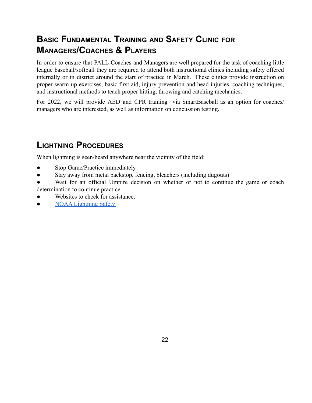# <span id="page-21-0"></span>**BASIC FUNDAMENTAL TRAINING AND SAFETY CLINIC FOR MANAGERS/COACHES & PLAYERS**

In order to ensure that PALL Coaches and Managers are well prepared for the task of coaching little league baseball/softball they are required to attend both instructional clinics including safety offered internally or in district around the start of practice in March. These clinics provide instruction on proper warm-up exercises, basic first aid, injury prevention and head injuries, coaching techniques, and instructional methods to teach proper hitting, throwing and catching mechanics.

For 2022, we will provide AED and CPR training via SmartBaseball as an option for coaches/ managers who are interested, as well as information on concussion testing.

# <span id="page-21-1"></span>**LIGHTNING PROCEDURES**

When lightning is seen/heard anywhere near the vicinity of the field:

- Stop Game/Practice immediately
- Stay away from metal backstop, fencing, bleachers (including dugouts)
- Wait for an official Umpire decision on whether or not to continue the game or coach determination to continue practice.
- Websites to check for assistance:
- **[NOAA Lightning Safety](https://www.weather.gov/safety/lightning-safety)**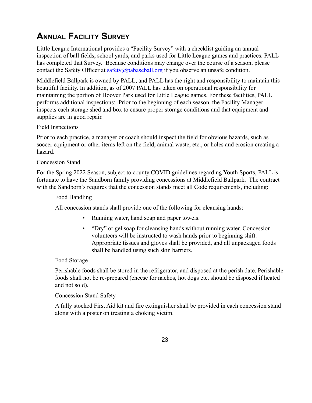# <span id="page-22-0"></span>**ANNUAL FACILITY SURVEY**

Little League International provides a "Facility Survey" with a checklist guiding an annual inspection of ball fields, school yards, and parks used for Little League games and practices. PALL has completed that Survey. Because conditions may change over the course of a season, please contact the Safety Officer at  $safety(\partial pabaseball.org)$  if you observe an unsafe condition.

Middlefield Ballpark is owned by PALL, and PALL has the right and responsibility to maintain this beautiful facility. In addition, as of 2007 PALL has taken on operational responsibility for maintaining the portion of Hoover Park used for Little League games. For these facilities, PALL performs additional inspections: Prior to the beginning of each season, the Facility Manager inspects each storage shed and box to ensure proper storage conditions and that equipment and supplies are in good repair.

#### Field Inspections

Prior to each practice, a manager or coach should inspect the field for obvious hazards, such as soccer equipment or other items left on the field, animal waste, etc., or holes and erosion creating a hazard.

#### Concession Stand

For the Spring 2022 Season, subject to county COVID guidelines regarding Youth Sports, PALL is fortunate to have the Sandborn family providing concessions at Middlefield Ballpark. The contract with the Sandborn's requires that the concession stands meet all Code requirements, including:

#### Food Handling

All concession stands shall provide one of the following for cleansing hands:

- Running water, hand soap and paper towels.
- "Dry" or gel soap for cleansing hands without running water. Concession volunteers will be instructed to wash hands prior to beginning shift. Appropriate tissues and gloves shall be provided, and all unpackaged foods shall be handled using such skin barriers.

#### Food Storage

Perishable foods shall be stored in the refrigerator, and disposed at the perish date. Perishable foods shall not be re-prepared (cheese for nachos, hot dogs etc. should be disposed if heated and not sold).

#### Concession Stand Safety

A fully stocked First Aid kit and fire extinguisher shall be provided in each concession stand along with a poster on treating a choking victim.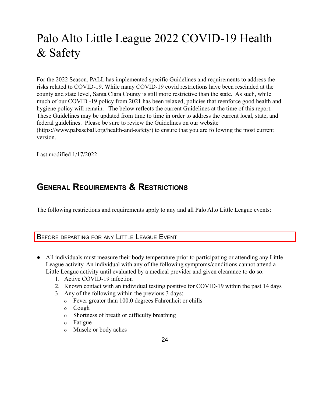# <span id="page-23-0"></span>Palo Alto Little League 2022 COVID-19 Health & Safety

For the 2022 Season, PALL has implemented specific Guidelines and requirements to address the risks related to COVID-19. While many COVID-19 covid restrictions have been rescinded at the county and state level, Santa Clara County is still more restrictive than the state. As such, while much of our COVID -19 policy from 2021 has been relaxed, policies that reenforce good health and hygiene policy will remain. The below reflects the current Guidelines at the time of this report. These Guidelines may be updated from time to time in order to address the current local, state, and federal guidelines. Please be sure to review the Guidelines on our website ([https://www.pabaseball.org/health-and-safety/\)](https://www.pabaseball.org/health-and-safety/) to ensure that you are following the most current version.

Last modified 1/17/2022

# <span id="page-23-1"></span>**GENERAL REQUIREMENTS & RESTRICTIONS**

The following restrictions and requirements apply to any and all Palo Alto Little League events:

### <span id="page-23-2"></span>BEFORE DEPARTING FOR ANY LITTLE LEAGUE EVENT

- All individuals must measure their body temperature prior to participating or attending any Little League activity. An individual with any of the following symptoms/conditions cannot attend a Little League activity until evaluated by a medical provider and given clearance to do so:
	- 1. Active COVID-19 infection
	- 2. Known contact with an individual testing positive for COVID-19 within the past 14 days
	- 3. Any of the following within the previous 3 days:
		- o Fever greater than 100.0 degrees Fahrenheit or chills
		- o Cough
		- o Shortness of breath or difficulty breathing
		- o Fatigue
		- o Muscle or body aches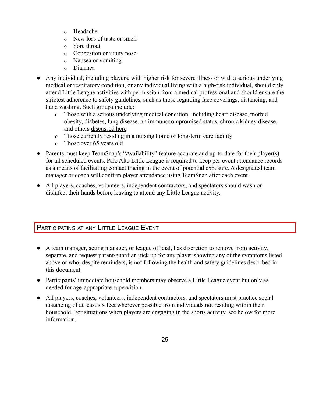- o Headache
- o New loss of taste or smell
- o Sore throat
- o Congestion or runny nose
- o Nausea or vomiting
- o Diarrhea
- Any individual, including players, with higher risk [for severe illness](https://www.cdc.gov/coronavirus/2019-ncov/need-extra-precautions/index.html) or with a serious underlying medical or respiratory condition, or any individual living with a high-risk individual, should only attend Little League activities with permission from a medical professional and should ensure the strictest adherence to safety guidelines, such as those regarding face coverings, distancing, and hand washing. Such groups include:
	- o Those with a serious underlying medical condition, including heart disease, morbid obesity, diabetes, lung disease, an immunocompromised status, chronic kidney disease, and others [discussed here](https://www.cdc.gov/coronavirus/2019-ncov/need-extra-precautions/people-with-medical-conditions.html)
	- o Those currently residing in a nursing home or long-term care facility
	- o Those over 65 years old
- Parents must keep TeamSnap's "Availability" feature accurate and up-to-date for their player(s) for all scheduled events. Palo Alto Little League is required to keep per-event attendance records as a means of facilitating contact tracing in the event of potential exposure. A designated team manager or coach will confirm player attendance using TeamSnap after each event.
- All players, coaches, volunteers, independent contractors, and spectators should wash or disinfect their hands before leaving to attend any Little League activity.

### <span id="page-24-0"></span>PARTICIPATING AT ANY LITTLE LEAGUE EVENT

- A team manager, acting manager, or league official, has discretion to remove from activity, separate, and request parent/guardian pick up for any player showing any of the symptoms listed above or who, despite reminders, is not following the health and safety guidelines described in this document.
- Participants' immediate household members may observe a Little League event but only as needed for age-appropriate supervision.
- All players, coaches, volunteers, independent contractors, and spectators must practice social distancing of at least six feet wherever possible from individuals not residing within their household. For situations when players are engaging in the sports activity, see below for more information.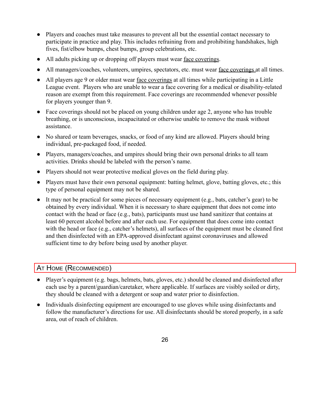- Players and coaches must take measures to prevent all but the essential contact necessary to participate in practice and play. This includes refraining from and prohibiting handshakes, high fives, fist/elbow bumps, chest bumps, group celebrations, etc.
- All adults picking up or dropping off players must wear [face coverings](https://www.cdc.gov/coronavirus/2019-ncov/prevent-getting-sick/about-face-coverings.html).
- All managers/coaches, volunteers, umpires, spectators, etc. must wear <u>[face coverings](https://www.cdc.gov/coronavirus/2019-ncov/prevent-getting-sick/about-face-coverings.html)</u> at all times.
- All players age 9 or older must wear [face coverings](https://www.cdc.gov/coronavirus/2019-ncov/prevent-getting-sick/about-face-coverings.html) at all times while participating in a Little League event. Players who are unable to wear a face covering for a medical or disability-related reason are exempt from this requirement. Face coverings are recommended whenever possible for players younger than 9.
- Face coverings should not be placed on young children under age 2, anyone who has trouble breathing, or is unconscious, incapacitated or otherwise unable to remove the mask without assistance.
- No shared or team beverages, snacks, or food of any kind are allowed. Players should bring individual, pre-packaged food, if needed.
- Players, managers/coaches, and umpires should bring their own personal drinks to all team activities. Drinks should be labeled with the person's name.
- Players should not wear protective medical gloves on the field during play.
- Players must have their own personal equipment: batting helmet, glove, batting gloves, etc.; this type of personal equipment may not be shared.
- It may not be practical for some pieces of necessary equipment (e.g., bats, catcher's gear) to be obtained by every individual. When it is necessary to share equipment that does not come into contact with the head or face (e.g., bats), participants must use hand sanitizer that contains at least 60 percent alcohol before and after each use. For equipment that does come into contact with the head or face (e.g., catcher's helmets), all surfaces of the equipment must be cleaned first and then disinfected with an EPA-approved disinfectant against coronaviruses and allowed sufficient time to dry before being used by another player.

### <span id="page-25-0"></span>AT HOME (RECOMMENDED)

- Player's equipment (e.g. bags, helmets, bats, gloves, etc.) should be cleaned and disinfected after each use by a parent/guardian/caretaker, where applicable. If surfaces are visibly soiled or dirty, they should be cleaned with a detergent or soap and water prior to disinfection.
- Individuals disinfecting equipment are encouraged to use gloves while using disinfectants and follow the manufacturer's directions for use. All disinfectants should be stored properly, in a safe area, out of reach of children.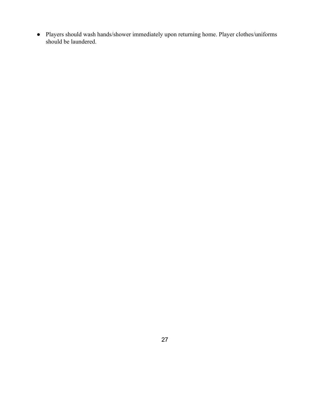● Players should wash hands/shower immediately upon returning home. Player clothes/uniforms should be laundered.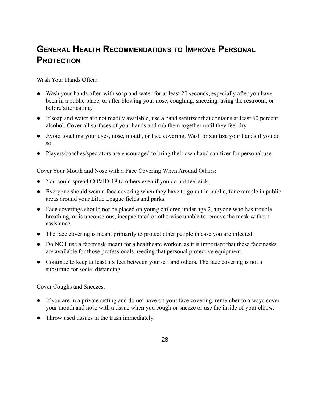# <span id="page-27-0"></span>**GENERAL HEALTH RECOMMENDATIONS TO IMPROVE PERSONAL PROTECTION**

<span id="page-27-1"></span>Wash Your Hands Often:

- Wash your hands often with soap and water for at least 20 seconds, especially after you have been in a public place, or after blowing your nose, coughing, sneezing, using the restroom, or before/after eating.
- If soap and water are not readily available, use a hand sanitizer that contains at least 60 percent alcohol. Cover all surfaces of your hands and rub them together until they feel dry.
- Avoid touching your eyes, nose, mouth, or face covering. Wash or sanitize your hands if you do so.
- Players/coaches/spectators are encouraged to bring their own hand sanitizer for personal use.

Cover Your Mouth and Nose with a Face Covering When Around Others:

- You could spread COVID-19 to others even if you do not feel sick.
- Everyone should wear a face covering when they have to go out in public, for example in public areas around your Little League fields and parks.
- Face coverings should not be placed on young children under age 2, anyone who has trouble breathing, or is unconscious, incapacitated or otherwise unable to remove the mask without assistance.
- The face covering is meant primarily to protect other people in case you are infected.
- Do NOT use a [facemask meant for a healthcare worker,](https://www.cdc.gov/coronavirus/2019-ncov/prevent-getting-sick/about-face-coverings.html) as it is important that these facemasks are available for those professionals needing that personal protective equipment.
- Continue to keep at least six feet between yourself and others. The face covering is not a substitute for social distancing.

<span id="page-27-2"></span>Cover Coughs and Sneezes:

- If you are in a private setting and do not have on your face covering, remember to always cover your mouth and nose with a tissue when you cough or sneeze or use the inside of your elbow.
- Throw used tissues in the trash immediately.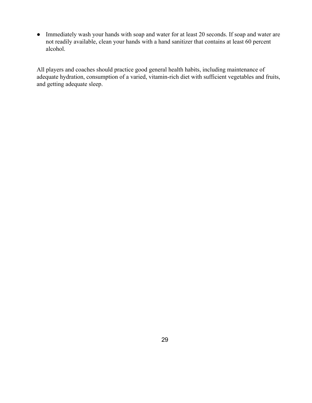• Immediately wash your hands with soap and water for at least 20 seconds. If soap and water are not readily available, clean your hands with a hand sanitizer that contains at least 60 percent alcohol.

All players and coaches should practice good general health habits, including maintenance of adequate hydration, consumption of a varied, vitamin-rich diet with sufficient vegetables and fruits, and getting adequate sleep.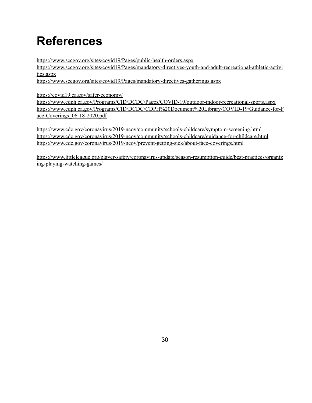# <span id="page-29-0"></span>**References**

<https://www.sccgov.org/sites/covid19/Pages/public-health-orders.aspx>

[https://www.sccgov.org/sites/covid19/Pages/mandatory-directives-youth-and-adult-recreational-athletic-activi](https://www.sccgov.org/sites/covid19/Pages/mandatory-directives-youth-and-adult-recreational-athletic-activities.aspx) [ties.aspx](https://www.sccgov.org/sites/covid19/Pages/mandatory-directives-youth-and-adult-recreational-athletic-activities.aspx)

<https://www.sccgov.org/sites/covid19/Pages/mandatory-directives-gatherings.aspx>

<https://covid19.ca.gov/safer-economy/>

<https://www.cdph.ca.gov/Programs/CID/DCDC/Pages/COVID-19/outdoor-indoor-recreational-sports.aspx> [https://www.cdph.ca.gov/Programs/CID/DCDC/CDPH%20Document%20Library/COVID-19/Guidance-for-F](https://www.cdph.ca.gov/Programs/CID/DCDC/CDPH%20Document%20Library/COVID-19/Guidance-for-Face-Coverings_06-18-2020.pdf) [ace-Coverings\\_06-18-2020.pdf](https://www.cdph.ca.gov/Programs/CID/DCDC/CDPH%20Document%20Library/COVID-19/Guidance-for-Face-Coverings_06-18-2020.pdf)

<https://www.cdc.gov/coronavirus/2019-ncov/community/schools-childcare/symptom-screening.html> <https://www.cdc.gov/coronavirus/2019-ncov/community/schools-childcare/guidance-for-childcare.html> <https://www.cdc.gov/coronavirus/2019-ncov/prevent-getting-sick/about-face-coverings.html>

[https://www.littleleague.org/player-safety/coronavirus-update/season-resumption-guide/best-practices/organiz](https://www.littleleague.org/player-safety/coronavirus-update/season-resumption-guide/best-practices/organizing-playing-watching-games/) [ing-playing-watching-games/](https://www.littleleague.org/player-safety/coronavirus-update/season-resumption-guide/best-practices/organizing-playing-watching-games/)